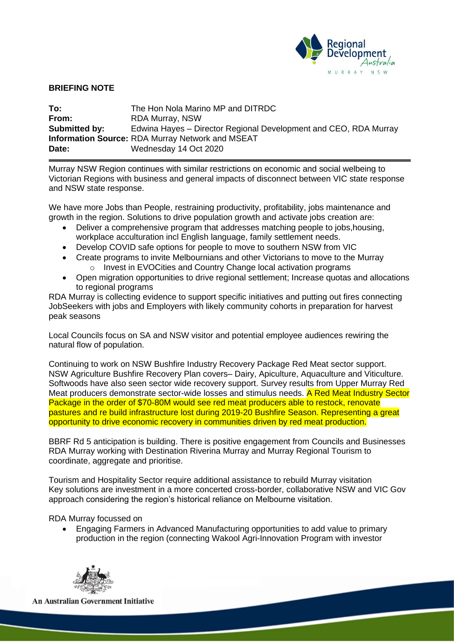

## **BRIEFING NOTE**

| To:           | The Hon Nola Marino MP and DITRDC                                |
|---------------|------------------------------------------------------------------|
| From:         | RDA Murray, NSW                                                  |
| Submitted by: | Edwina Hayes – Director Regional Development and CEO, RDA Murray |
|               | <b>Information Source: RDA Murray Network and MSEAT</b>          |
| Date:         | Wednesday 14 Oct 2020                                            |

Murray NSW Region continues with similar restrictions on economic and social welbeing to Victorian Regions with business and general impacts of disconnect between VIC state response and NSW state response.

We have more Jobs than People, restraining productivity, profitability, jobs maintenance and growth in the region. Solutions to drive population growth and activate jobs creation are:

- Deliver a comprehensive program that addresses matching people to jobs,housing, workplace acculturation incl English language, family settlement needs.
- Develop COVID safe options for people to move to southern NSW from VIC
- Create programs to invite Melbournians and other Victorians to move to the Murray o Invest in EVOCities and Country Change local activation programs
- Open migration opportunities to drive regional settlement; Increase quotas and allocations to regional programs

RDA Murray is collecting evidence to support specific initiatives and putting out fires connecting JobSeekers with jobs and Employers with likely community cohorts in preparation for harvest peak seasons

Local Councils focus on SA and NSW visitor and potential employee audiences rewiring the natural flow of population.

Continuing to work on NSW Bushfire Industry Recovery Package Red Meat sector support. NSW Agriculture Bushfire Recovery Plan covers– Dairy, Apiculture, Aquaculture and Viticulture. Softwoods have also seen sector wide recovery support. Survey results from Upper Murray Red Meat producers demonstrate sector-wide losses and stimulus needs. A Red Meat Industry Sector Package in the order of \$70-80M would see red meat producers able to restock, renovate pastures and re build infrastructure lost during 2019-20 Bushfire Season. Representing a great opportunity to drive economic recovery in communities driven by red meat production.

BBRF Rd 5 anticipation is building. There is positive engagement from Councils and Businesses RDA Murray working with Destination Riverina Murray and Murray Regional Tourism to coordinate, aggregate and prioritise.

Tourism and Hospitality Sector require additional assistance to rebuild Murray visitation Key solutions are investment in a more concerted cross-border, collaborative NSW and VIC Gov approach considering the region's historical reliance on Melbourne visitation.

## RDA Murray focussed on

• Engaging Farmers in Advanced Manufacturing opportunities to add value to primary production in the region (connecting Wakool Agri-Innovation Program with investor



**An Australian Government Initiative**